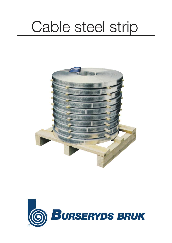# Cable steel strip



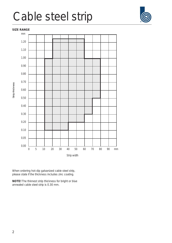### Cable steel strip

### **SIZE RANGE**



When ordering hot-dip galvanized cable steel strip, please state if the thickness includes zinc coating.

**NOTE!** The thinnest strip thickness for bright or blue annealed cable steel strip is 0.30 mm.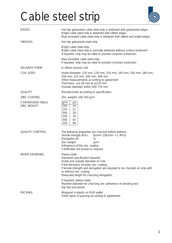## Cable steel strip



| <b>EDGES</b>                                  | Hot-dip galvanized cable steel strip is delivered with galvanized edges<br>Bright cable steel strip is delivered with slitted edges<br>Blue annealed cable steel strip is delivered with slitted and bright edges                                                                                                     |
|-----------------------------------------------|-----------------------------------------------------------------------------------------------------------------------------------------------------------------------------------------------------------------------------------------------------------------------------------------------------------------------|
| <b>FINISHES</b>                               | Hot-dip galvanized steel strip                                                                                                                                                                                                                                                                                        |
|                                               | Bright cable steel strip<br>Bright cable steel strip is normally delivered without surface treatment<br>If required, strip may be oiled to provide corrosion protection                                                                                                                                               |
|                                               | Blue annealed cable steel strip<br>If required, strip may be oiled to provide corrosion protection                                                                                                                                                                                                                    |
| <b>DELIVERY FORM</b>                          | In ribbon wound coils                                                                                                                                                                                                                                                                                                 |
| <b>COIL SIZES</b>                             | Inside diameter: 120 mm, 128 mm, 150 mm, 160 mm, 165 mm, 180 mm,<br>200 mm, 225 mm, 300 mm, 400 mm<br>Other measurements according to agreement<br>Thickness: $\geq 1.00$ mm id $\geq 225$ mm<br>Outside diameter within 300-770 mm                                                                                   |
| <b>QUALITY</b>                                | Manufactured according to specification                                                                                                                                                                                                                                                                               |
| <b>ZINC COATING</b>                           | Zinc weights 100-350 g/m <sup>2</sup>                                                                                                                                                                                                                                                                                 |
| <b>CONVERSION TABLE</b><br><b>ZINC WEIGHT</b> | $g/m^2$<br>$\mu$ m<br>14<br>100<br>150<br>21<br>200<br>28<br>250<br>35<br>300<br>42<br>350<br>49                                                                                                                                                                                                                      |
| <b>QUALITY CONTROL</b>                        | The following properties are checked before delivery:<br>Tensile strength (Rm)<br>$N/mm^2$ (1 $N/mm^2 = 1 MPa$ )<br>Elongation (A)<br>℅<br>Zinc weight<br>$g/m^2$<br>Adherence of the zinc coating<br>Certificates are issued on request                                                                              |
| <b>WHEN ORDERING</b>                          | Please state:<br>Standard specification required<br>Inside and outside diameter of coils<br>If the thickness includes zinc coating<br>If tensile strength and elongation are required to be checked on strip with<br>or without zinc coating<br>Measured length for checking elongation<br>If required, please state: |
|                                               | Mandrel diameter for checking zinc adherence in bending test<br>Dip test procedure                                                                                                                                                                                                                                    |
| <b>PACKING</b>                                | Wrapped in plastic on EUR-pallet<br>Other types of packing according to agreement                                                                                                                                                                                                                                     |